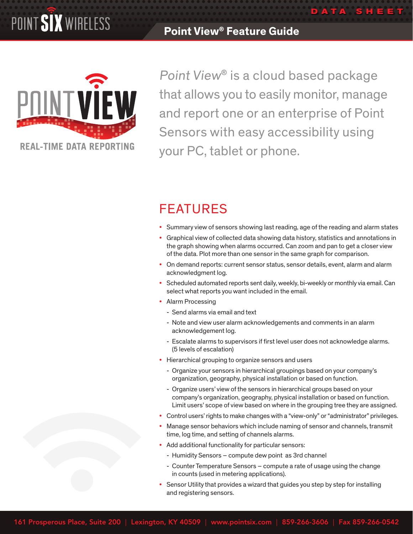## **Point View® Feature Guide**



Point View® is a cloud based package that allows you to easily monitor, manage and report one or an enterprise of Point Sensors with easy accessibility using your PC, tablet or phone.

**DATA SH E E T**

# **FEATURES**

- Summary view of sensors showing last reading, age of the reading and alarm states
- • Graphical view of collected data showing data history, statistics and annotations in the graph showing when alarms occurred. Can zoom and pan to get a closer view of the data. Plot more than one sensor in the same graph for comparison.
- • On demand reports: current sensor status, sensor details, event, alarm and alarm acknowledgment log.
- Scheduled automated reports sent daily, weekly, bi-weekly or monthly via email. Can select what reports you want included in the email.
- Alarm Processing
	- Send alarms via email and text
	- Note and view user alarm acknowledgements and comments in an alarm acknowledgement log.
	- Escalate alarms to supervisors if first level user does not acknowledge alarms. (5 levels of escalation)
- Hierarchical grouping to organize sensors and users
	- Organize your sensors in hierarchical groupings based on your company's organization, geography, physical installation or based on function.
	- Organize users' view of the sensors in hierarchical groups based on your company's organization, geography, physical installation or based on function. Limit users' scope of view based on where in the grouping tree they are assigned.
- Control users' rights to make changes with a "view-only" or "administrator" privileges.
- Manage sensor behaviors which include naming of sensor and channels, transmit time, log time, and setting of channels alarms.
- Add additional functionality for particular sensors:
	- Humidity Sensors compute dew point as 3rd channel
	- Counter Temperature Sensors compute a rate of usage using the change in counts (used in metering applications).
- Sensor Utility that provides a wizard that guides you step by step for installing and registering sensors.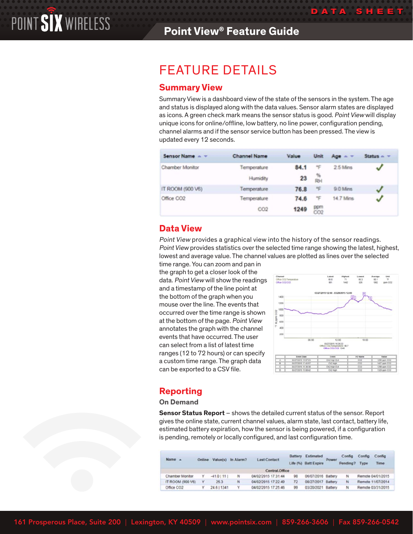# Feature Details

## **Summary View**

Summary View is a dashboard view of the state of the sensors in the system. The age and status is displayed along with the data values. Sensor alarm states are displayed as icons. A green check mark means the sensor status is good. Point View will display unique icons for online/offline, low battery, no line power, configuration pending, channel alarms and if the sensor service button has been pressed. The view is updated every 12 seconds.

| Sensor Name A          | <b>Channel Name</b> | Value | Unit       | $A \circledcirc$ $\sim$ $\sim$ | Status $\sim$ $-$ |
|------------------------|---------------------|-------|------------|--------------------------------|-------------------|
| Chamber Monitor        | Temperature         | 84.1  | F          | 25 Mins                        | √                 |
|                        | Humidity            | 23    | %<br>RH    |                                |                   |
| IT ROOM (900 V6)       | Temperature         | 76.8  | Ŧ          | 9.0 Mins                       | √                 |
| Office CO <sub>2</sub> | Temperature         | 74.6  | F          | 14.7 Mins                      | √                 |
|                        | CO <sub>2</sub>     | 1249  | ppm<br>CO2 |                                |                   |

## **Data View**

Point View provides a graphical view into the history of the sensor readings. Point View provides statistics over the selected time range showing the latest, highest, lowest and average value. The channel values are plotted as lines over the selected

time range. You can zoom and pan in the graph to get a closer look of the data. Point View will show the readings and a timestamp of the line point at the bottom of the graph when you mouse over the line. The events that occurred over the time range is shown at the bottom of the page. Point View annotates the graph with the channel events that have occurred. The user can select from a list of latest time ranges (12 to 72 hours) or can specify a custom time range. The graph data can be exported to a CSV file.



**DATA SH E E T**

## **Reporting**

#### **On Demand**

**Sensor Status Report** – shows the detailed current status of the sensor. Report gives the online state, current channel values, alarm state, last contact, battery life, estimated battery expiration, how the sensor is being powered, if a configuration is pending, remotely or locally configured, and last configuration time.

| Name A           | <b>Online</b> |             | Value(s) In Alarm? | <b>Last Contact</b> | Battery   | Estimated<br>Life (%) Batt Expire | Power | Config<br>Pending? | Config<br>Type | Config<br>Time    |  |
|------------------|---------------|-------------|--------------------|---------------------|-----------|-----------------------------------|-------|--------------------|----------------|-------------------|--|
|                  |               |             |                    | Central.Office      |           |                                   |       |                    |                |                   |  |
| Chamber Monitor  | v             | $-41.01111$ | N                  | 04/02/2015 17:31:44 | <b>DS</b> | 06/07/2016 Battery                |       | N                  |                | Remote 04/01/2015 |  |
| (T ROOM (900 V6) | ×             | 25.3        | N                  | 04/02/2015 17:22:49 | 72        | 08/27/2017 Battery                |       | N                  |                | Remote 11/07/2014 |  |
| Office CO2       |               | 24.6   1341 | ٧                  | 04/02/2015 17:25:46 | 99        | 03/20/2021 Battery                |       | N                  |                | Remote 03/31/2015 |  |

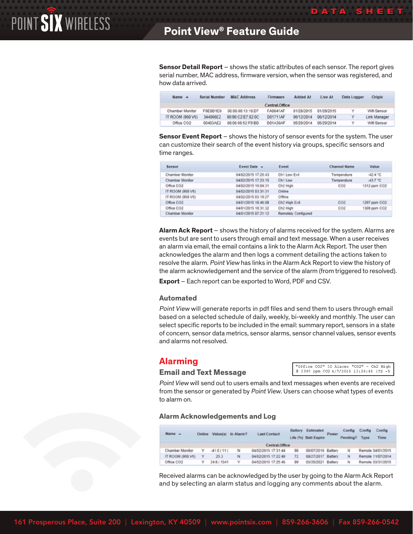**Sensor Detail Report** – shows the static attributes of each sensor. The report gives serial number, MAC address, firmware version, when the sensor was registered, and how data arrived.

| Name A           | <b>Serial Number</b> | <b>MAC Address</b> | Firmware       | <b>Added At</b> | Live At    | Data Logger | Origin       |
|------------------|----------------------|--------------------|----------------|-----------------|------------|-------------|--------------|
|                  |                      |                    | Central.Office |                 |            |             |              |
| Chamber Monitor  | F&E0D1E0             | 00:06:66 13:16:D7  | FA0041AF       | 01/28/2015      | 01/28/2015 | Y           | Wifi Sensor  |
| IT ROOM (900 V6) | 344066E2             | 00 90 C2 E7 82 DC  | D01711AF       | 06/12/2014      | 06/12/2014 | v           | Link Manager |
| Office CO2       | 00403AE2             | 00:06:66:52 F9 RD  | D01A30AF       | 05/29/2014      | 05/29/2014 | v           | Wifi Sensor  |

**Sensor Event Report** – shows the history of sensor events for the system. The user can customize their search of the event history via groups, specific sensors and time ranges.

| Sensor                 | Event Date -        | Event               | Channel Name | <b>Value</b> |
|------------------------|---------------------|---------------------|--------------|--------------|
| Chamber Monitor        | 04/02/2015 17:26:43 | Chi Low Ext         | Temperature  | $-42.4 °C$   |
| <b>Chamber Monitor</b> | 04/02/2015 17:23:15 | Ch1 Low             | Temperature  | $-43.7 + 0.$ |
| Office CO2             | 04/02/2015 16:04:31 | Ch2 High            | CO2          | 1312 ppm CO2 |
| (79 0005 MOON 11       | 04/02/2015 03:31:31 | Online              |              |              |
| IT ROOM (900 V6)       | 04/02/2015 03:19:27 | Offine              |              |              |
| Office CO2             | 04/01/2015 18:46:08 | CIV2 High Exit      | CO2          | 1297 ppm CO2 |
| Office CO2             | 04/01/2015 18:31:32 | CK2 High            | coz          | 1309 ppm CO2 |
| <b>Chamber Monitor</b> | 04/01/2015 07:21:12 | Remately Configured |              |              |

**Alarm Ack Report** – shows the history of alarms received for the system. Alarms are events but are sent to users through email and text message. When a user receives an alarm via email, the email contains a link to the Alarm Ack Report. The user then acknowledges the alarm and then logs a comment detailing the actions taken to resolve the alarm. Point View has links in the Alarm Ack Report to view the history of the alarm acknowledgement and the service of the alarm (from triggered to resolved).

**Export** – Each report can be exported to Word, PDF and CSV.

#### **Automated**

Point View will generate reports in pdf files and send them to users through email based on a selected schedule of daily, weekly, bi-weekly and monthly. The user can select specific reports to be included in the email: summary report, sensors in a state of concern, sensor data metrics, sensor alarms, sensor channel values, sensor events and alarms not resolved.

## **Alarming**

#### **Email and Text Message**

"Office CO2" IO Alarm: "CO2" - Ch2 High @ 1340 ppm CO2 4/7/2015 13:26:48 (TZ -5

**DATA SH E E T**

Point View will send out to users emails and text messages when events are received from the sensor or generated by *Point View*. Users can choose what types of events to alarm on.

#### **Alarm Acknowledgements and Log**

| Name A           | <b>Online</b> | <b>Value(s)</b> | In Alarm? | <b>Last Contact</b> | Battery | Estimated<br>Life (%) Batt Expire | Power | Config<br>Pending? | Config<br>Type | Config<br>Time    |
|------------------|---------------|-----------------|-----------|---------------------|---------|-----------------------------------|-------|--------------------|----------------|-------------------|
|                  |               |                 |           | Central.Office      |         |                                   |       |                    |                |                   |
| Chamber Monitor  |               | $-41.01111$     | N         | 04/02/2015 17:31:44 | 98      | 06/07/2016 Battery                |       |                    |                | Remote 04/01/2015 |
| IT ROOM (900 V6) | Y             | 25.3            | $34$      | 04/02/2015 17:22:49 | 72      | 08/27/2017 Battery                |       | N                  |                | Remote 11/07/2014 |
| Office CO2       |               | 24.6   1341     | ٧         | 04/02/2015 17:25:46 | 99      | 03/20/2021 Battery                |       | N                  |                | Remote 03/31/2015 |

Received alarms can be acknowledged by the user by going to the Alarm Ack Report and by selecting an alarm status and logging any comments about the alarm.

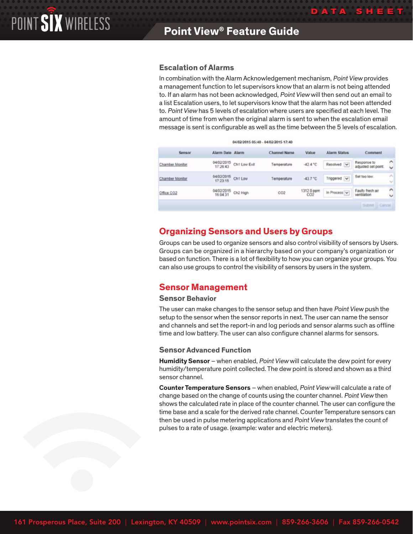### **Escalation of Alarms**

In combination with the Alarm Acknowledgement mechanism, Point View provides a management function to let supervisors know that an alarm is not being attended to. If an alarm has not been acknowledged, Point View will then send out an email to a list Escalation users, to let supervisors know that the alarm has not been attended to. Point View has 5 levels of escalation where users are specified at each level. The amount of time from when the original alarm is sent to when the escalation email message is sent is configurable as well as the time between the 5 levels of escalation.

**DATA SH E E T**

|                 |                        |              | 04/02/2015 05:40 - 04/02/2015 17:40 |            |              |                                    |                                     |
|-----------------|------------------------|--------------|-------------------------------------|------------|--------------|------------------------------------|-------------------------------------|
| Sensor          | Alarm Date Alarm       |              | <b>Channel Name</b>                 | Value      | Alarm Status | Comment                            |                                     |
| Chamber Monitor | 04/02/2015<br>17:26:43 | Ch1 Low Exit | Temperature                         | $-42.4 °C$ | Resolved V   | Response to<br>adjusted set point. | $\hat{\phantom{1}}$<br>$\checkmark$ |
| Chamber Monitor | 04/02/2015<br>17:23:15 | Ch1 Low      | Temperature                         | $-43.7 °C$ | Triggered v  | Set too low.                       | ×<br>$\sim$                         |
| Office CO2      | 04/02/2015<br>16:04:31 | Ch2 High     | CO2                                 | 1312.0 ppm | In Process V | Faulty fresh air<br>ventilation    | $\hat{\phantom{a}}$<br>$\checkmark$ |

## **Organizing Sensors and Users by Groups**

Groups can be used to organize sensors and also control visibility of sensors by Users. Groups can be organized in a hierarchy based on your company's organization or based on function. There is a lot of flexibility to how you can organize your groups. You can also use groups to control the visibility of sensors by users in the system.

## **Sensor Management**

#### **Sensor Behavior**

The user can make changes to the sensor setup and then have *Point View* push the setup to the sensor when the sensor reports in next. The user can name the sensor and channels and set the report-in and log periods and sensor alarms such as offline time and low battery. The user can also configure channel alarms for sensors.

#### **Sensor Advanced Function**

**Humidity Sensor** – when enabled, Point View will calculate the dew point for every humidity/temperature point collected. The dew point is stored and shown as a third sensor channel.

**Counter Temperature Sensors** – when enabled, Point View will calculate a rate of change based on the change of counts using the counter channel. Point View then shows the calculated rate in place of the counter channel. The user can configure the time base and a scale for the derived rate channel. Counter Temperature sensors can then be used in pulse metering applications and Point View translates the count of pulses to a rate of usage. (example: water and electric meters).